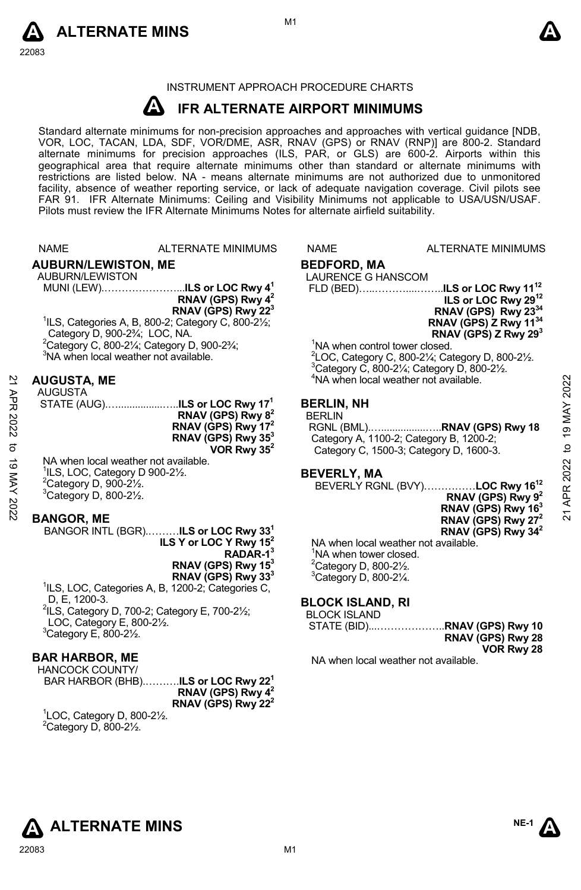



### INSTRUMENT APPROACH PROCEDURE CHARTS

#### **A IFR ALTERNATE AIRPORT MINIMUMS**

Standard alternate minimums for non-precision approaches and approaches with vertical guidance [NDB,<br>VOR, LOC, TACAN, LDA, SDF, VOR/DME, ASR, RNAV (GPS) or RNAV (RNP)] are 800-2. Standard alternate minimums for precision approaches (ILS, PAR, or GLS) are 600-2. Airports within this geographical area that require alternate minimums other than standard or alternate minimums with restrictions are listed below. NA - means alternate minimums are not authorized due to unmonitored facility, absence of weather reporting service, or lack of adequate navigation coverage. Civil pilots see FAR 91. IFR Alternate Minimums: Ceiling and Visibility Minimums not applicable to USA/USN/USAF. Pilots must review the IFR Alternate Minimums Notes for alternate airfield suitability.

NAME ALTERNATE MINIMUMS NAME ALTERNATE MINIMUMS

**AUBURN/LEWISTON, ME**  AUBURN/LEWISTON

MUNI (LEW).…………………...**ILS or LOC Rwy 41 RNAV (GPS) Rwy 42 RNAV (GPS) Rwy 223**  1 ILS, Categories A, B, 800-2; Category C, 800-2½;

Category D, 900-2¾; LOC, NA.  $2^2$ Category C, 800-21/<sub>4</sub>; Category D, 900-23/<sub>4</sub>;

3 NA when local weather not available.

# **AUGUSTA, ME**

AUGUSTA STATE (AUG).…................…..**ILS or LOC Rwy 171 RNAV (GPS) Rwy 82 RNAV (GPS) Rwy 172 RNAV (GPS) Rwy 353 VOR Rwy 352** 21 APR 2022 to 19 MAY 202221 APR 2022 to 19 MAY 2022

NA when local weather not available. ILS, LOC, Category D 900-2½. Category D, 900-2 $\frac{1}{2}$ . Category D, 800-2 $\frac{1}{2}$ .

#### **BANGOR, ME**

BANGOR INTL (BGR).………**ILS or LOC Rwy 331 ILS Y or LOC Y Rwy 152 RADAR-13** 

**RNAV (GPS) Rwy 153 RNAV (GPS) Rwy 333** 

<sup>1</sup>ILS, LOC, Categories A, B, 1200-2; Categories C, D, E, 1200-3.  $2$ ILS, Category D, 700-2; Category E, 700-2 $\frac{1}{2}$ ; LOC, Category E, 800-2½.  $3$ Category E, 800-2½.

#### **BAR HARBOR, ME**

HANCOCK COUNTY/ BAR HARBOR (BHB).……….**ILS or LOC Rwy 221**

**RNAV (GPS) Rwy 42 RNAV (GPS) Rwy 222** 

 ${}^{1}$ LOC, Category D, 800-2 $\frac{1}{2}$ .  $2$ Category D, 800-2 $\frac{1}{2}$ .

# **BEDFORD, MA**

LAURENCE G HANSCOM

 FLD (BED)…..………....……..**ILS or LOC Rwy 1112 ILS or LOC Rwy 2912 RNAV (GPS) Rwy 2334 RNAV (GPS) Z Rwy 1134 RNAV (GPS) Z Rwy 293** 

<sup>1</sup>NA when control tower closed. <sup>2</sup>LOC, Category C, 800-2¼; Category D, 800-2½.<br><sup>3</sup>Category C, 800, 21/: Category D, 800, 21/  $3$ Category C, 800-2 $\frac{1}{4}$ ; Category D, 800-2 $\frac{1}{2}$ . <sup>4</sup>NA when local weather not available.

#### **BERLIN, NH**

BERLIN

 RGNL (BML).…................…..**RNAV (GPS) Rwy 18**  Category A, 1100-2; Category B, 1200-2; Category C, 1500-3; Category D, 1600-3.

#### **BEVERLY, MA**

BEVERLY RGNL (BVY)……………**LOC Rwy 1612 RNAV (GPS) Rwy 92 RNAV (GPS) Rwy 163 RNAV (GPS) Rwy 272 RNAV (GPS) Rwy 342** 

NA when local weather not available. <sup>1</sup>NA when tower closed.  $2^2$ Category D, 800-2 $\frac{1}{2}$ .  $3$ Category D, 800-2 $\frac{1}{4}$ .

#### **BLOCK ISLAND, RI**

BLOCK ISLAND

STATE (BID)...………………..**RNAV (GPS) Rwy 10 RNAV (GPS) Rwy 28 VOR Rwy 28** 

NA when local weather not available.

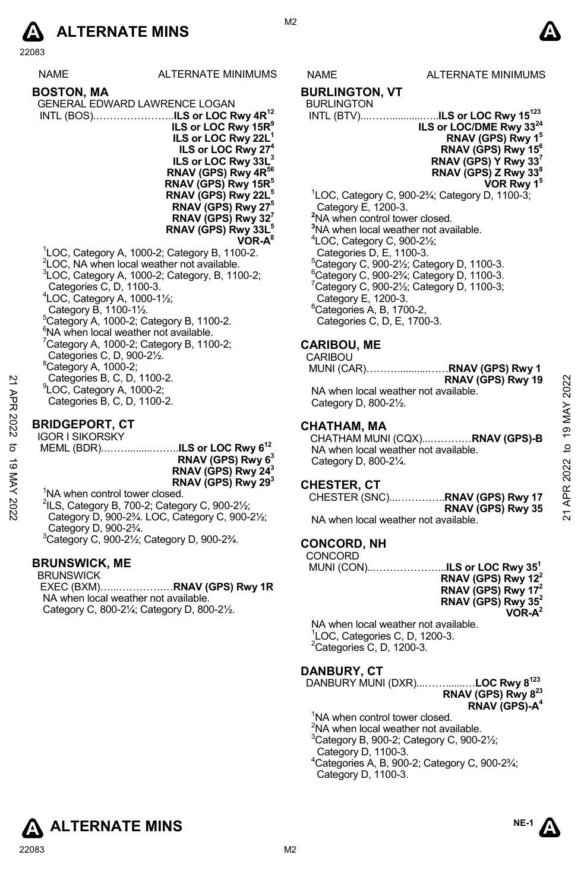

| <b>NAME</b>                           | <b>ALTERNATE MINIMUMS</b>                                          |
|---------------------------------------|--------------------------------------------------------------------|
| <b>BOSTON, MA</b>                     |                                                                    |
|                                       | GENERAL EDWARD LAWRENCE LOGAN                                      |
|                                       | INTL (BOS)ILS or LOC Rwy 4R <sup>12</sup>                          |
|                                       | ILS or LOC Rwy 15R <sup>9</sup>                                    |
|                                       | ILS or LOC Rwy 22L <sup>1</sup>                                    |
|                                       | ILS or LOC Rwy 27 <sup>4</sup>                                     |
|                                       | ILS or LOC Rwy 33L <sup>3</sup>                                    |
|                                       | RNAV (GPS) Rwy 4R <sup>56</sup><br>RNAV (GPS) Rwy 15R <sup>5</sup> |
|                                       | RNAV (GPS) Rwy 22L <sup>5</sup>                                    |
|                                       | RNAV (GPS) Rwy 27 <sup>5</sup>                                     |
|                                       | RNAV (GPS) Rwy $327$                                               |
|                                       | RNAV (GPS) Rwy 33L <sup>5</sup>                                    |
|                                       | VOR-A <sup>8</sup>                                                 |
|                                       | <sup>1</sup> LOC, Category A, 1000-2; Category B, 1100-2.          |
|                                       | <sup>2</sup> LOC, NA when local weather not available.             |
| Categories C, D, 1100-3.              | <sup>3</sup> LOC, Category A, 1000-2; Category, B, 1100-2;         |
|                                       | <sup>4</sup> LOC, Category A, 1000-11/ <sub>2</sub> ;              |
| Category B, 1100-11/2.                |                                                                    |
|                                       | <sup>5</sup> Category A, 1000-2; Category B, 1100-2.               |
|                                       | <sup>6</sup> NA when local weather not available.                  |
|                                       | $7$ Category A, 1000-2; Category B, 1100-2;                        |
|                                       | Categories C, D, 900-21/2.                                         |
| <sup>8</sup> Category A, 1000-2;      |                                                                    |
|                                       | Categories B, C, D, 1100-2.                                        |
| <sup>9</sup> LOC, Category A, 1000-2; | Categories B, C, D, 1100-2.                                        |
|                                       |                                                                    |
| <b>DDINGEDADT CT</b>                  |                                                                    |

# **BRIDGEPORT, CT**  IGOR I SIKORSKY

| 2        | Categories B, C, D, 1100-2.<br><sup>9</sup> LOC, Category A, 1000-2;                                                  | RNAV (GPS) Rwy 19<br>NA when local weather not available. | 2022           |
|----------|-----------------------------------------------------------------------------------------------------------------------|-----------------------------------------------------------|----------------|
| APR      | Categories B, C, D, 1100-2.                                                                                           | Category D, 800-21/2.                                     |                |
| 2022     | <b>BRIDGEPORT, CT</b>                                                                                                 | <b>CHATHAM, MA</b>                                        | $\overline{9}$ |
|          | <b>IGOR I SIKORSKY</b>                                                                                                | CHATHAM MUNI (CQX)RNAV (GPS)-B                            |                |
| ಕ        |                                                                                                                       | NA when local weather not available.                      | ₫              |
| ಹ        | RNAV (GPS) Rwy 6 <sup>3</sup><br>RNAV (GPS) Rwy 24 <sup>3</sup>                                                       | Category D, 800-21/4.                                     | 2022           |
|          | RNAV (GPS) Rwy 29 <sup>3</sup>                                                                                        |                                                           |                |
|          |                                                                                                                       | <b>CHESTER, CT</b>                                        |                |
| MAY 2022 | <sup>1</sup> NA when control tower closed.<br>$\frac{2}{1}$ ILS, Category B, 700-2; Category C, 900-2 $\frac{1}{2}$ ; | RNAV (GPS) Rwy 35                                         | APR            |
|          | Category D. 900-23/4, LOC. Category C. 900-21/2:                                                                      | NA whop local woother not available                       | ম              |

 $2$ ILS, Category B, 700-2; Category C, 900-2 $\frac{1}{2}$ ; Category D, 900-2¾. LOC, Category C, 900-2½; Category D, 900-2¾. 3 Category C, 900-2½; Category D, 900-2¾.

# **BRUNSWICK, ME**

BRUNSWICK EXEC (BXM)…...………….…**RNAV (GPS) Rwy 1R** NA when local weather not available. Category C, 800-2¼; Category D, 800-2½.

# S NAME ALTERNATE MINIMUMS

# **BURLINGTON, VT**

# BURLINGTON

 INTL (BTV)...……............…..**ILS or LOC Rwy 15123 ILS or LOC/DME Rwy 3324 RNAV (GPS) Rwy 15 RNAV (GPS) Rwy 156 RNAV (GPS) Y Rwy 337 RNAV (GPS) Z Rwy 338 VOR Rwy 15** 1 LOC, Category C, 900-2¾; Category D, 1100-3; Category E, 1200-3. **2** NA when control tower closed. **3** NA when local weather not available.

4 LOC, Category C, 900-2½; Categories D, E, 1100-3. 5 Category C, 900-2½; Category D, 1100-3.  $^6$ Category C, 900-2¾; Category D, 1100-3.  $7$ Category C, 900-2½; Category D, 1100-3; Category E, 1200-3. 8 Categories A, B, 1700-2, Categories C, D, E, 1700-3.

# **CARIBOU, ME**

CARIBOU<br>MUNI (CA

|                                      | RNAV (GPS) Rwy 19 |
|--------------------------------------|-------------------|
| NA when local weather not available. |                   |
| Category D, 800-21/2.                |                   |

#### **CHATHAM, MA**

#### **CHESTER, CT**

| CHESTER (SNC) <b>RNAV (GPS) Rwy 17</b> |                   |
|----------------------------------------|-------------------|
|                                        | RNAV (GPS) Rwy 35 |
| NA when local weather not available.   |                   |

# **CONCORD, NH**

#### CONCORD

|                                     | RNAV (GPS) Rwy 12 <sup>2</sup> |
|-------------------------------------|--------------------------------|
|                                     | RNAV (GPS) Rwy 17 <sup>2</sup> |
|                                     | RNAV (GPS) Rwy 35 <sup>2</sup> |
|                                     | $VOR-A^2$                      |
| NA when local weather not available |                                |

NA when local weather not available. 1 LOC, Categories C, D, 1200-3.  ${}^{2}$ Categories C, D, 1200-3.

#### **DANBURY, CT**

DANBURY MUNI (DXR)...…….......…**LOC Rwy 8123 RNAV (GPS) Rwy 823 RNAV (GPS)-A4** 

- <sup>1</sup>NA when control tower closed.
- $2$ NA when local weather not available.
- $3$ Category B, 900-2; Category C, 900-2 $\frac{1}{2}$ ;
- Category D, 1100-3.
- 4 Categories A, B, 900-2; Category C, 900-2¾; Category D, 1100-3.









M<sub>2</sub>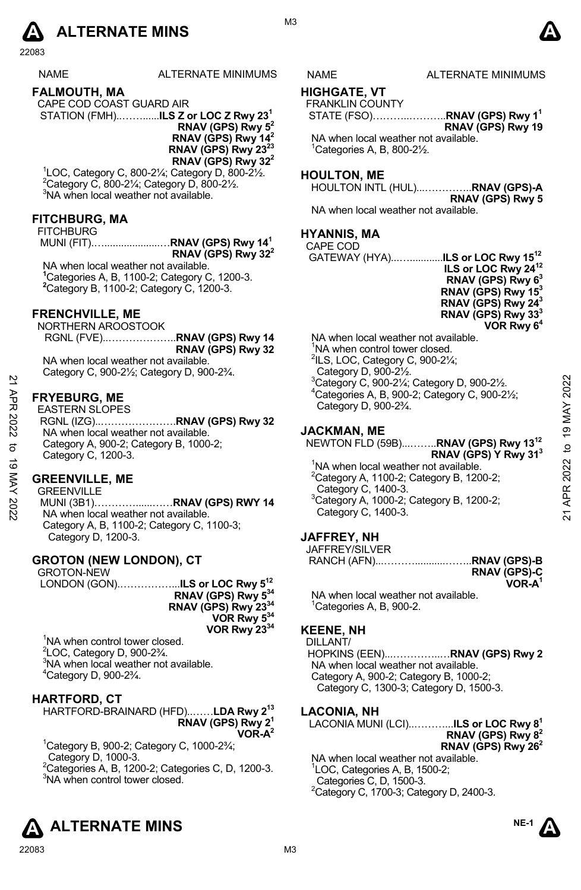

NAME ALTERNATE MINIMUMS NAME ALTERNATE MINIMUMS

#### **FALMOUTH, MA**

CAPE COD COAST GUARD AIR STATION (FMH)..……......**ILS Z or LOC Z Rwy 231 RNAV (GPS) Rwy 52** 

**RNAV (GPS) Rwy 142 RNAV (GPS) Rwy 23 RNAV (GPS) Rwy 322** 

1 LOC, Category C, 800-2¼; Category D, 800-2½. 2 Category C, 800-2¼; Category D, 800-2½. 3 NA when local weather not available.

# **FITCHBURG, MA**

#### **FITCHBURG**

 MUNI (FIT).…....................…**RNAV (GPS) Rwy 141 RNAV (GPS) Rwy 322** NA when local weather not available.

**1** Categories A, B, 1100-2; Category C, 1200-3. **2** Category B, 1100-2; Category C, 1200-3.

#### **FRENCHVILLE, ME**

NORTHERN AROOSTOOK RGNL (FVE)..………………..**RNAV (GPS) Rwy 14 RNAV (GPS) Rwy 32** NA when local weather not available. Category C, 900-2½; Category D, 900-2¾.

**FRYEBURG, ME** 

EASTERN SLOPES RGNL (IZG)..………………….**RNAV (GPS) Rwy 32**  NA when local weather not available. Category A, 900-2; Category B, 1000-2; Category C, 1200-3. **ERENG, ME**<br> **EASTERING, ME**<br> **EASTERIN SLOPES**<br> **EASTERIN SLOPES**<br> **EASTERIN SLOPES**<br> **EASTERIN SLOPES**<br> **EASTERIN SLOPES**<br> **EASTERIN SLOPES**<br> **EASTERIN SLOPES**<br> **EASTERIN SLOPES**<br> **EASTERING, ME**<br>
Category D, 900-2%.<br>

# **GREENVILLE, ME**

GREENVILLE

 MUNI (3B1)…………......……**RNAV (GPS) RWY 14**  NA when local weather not available. Category A, B, 1100-2; Category C, 1100-3; Category D, 1200-3.

### **GROTON (NEW LONDON), CT**

GROTON-NEW

 LONDON (GON).……………...**ILS or LOC Rwy 512 RNAV (GPS) Rwy 534 RNAV (GPS) Rwy 2334 VOR Rwy 534 VOR Rwy 2334** 

<sup>1</sup>NA when control tower closed.  $2^2$ LOC, Category D, 900-2 $\frac{3}{4}$ .  $3$ NA when local weather not available. 4 Category D, 900-2¾.

# **HARTFORD, CT**

HARTFORD-BRAINARD (HFD)..……**LDA Rwy 213 RNAV (GPS) Rwy 21 VOR-A2** 

 $1$ Category B, 900-2; Category C, 1000-2 $\frac{3}{4}$ ; Category D, 1000-3. <sup>2</sup>Categories A, B, 1200-2; Categories C, D, 1200-3.

<sup>3</sup>NA when control tower closed.



# **HIGHGATE, VT**

FRANKLIN COUNTY

 STATE (FSO)………..………..**RNAV (GPS) Rwy 11 RNAV (GPS) Rwy 19**  NA when local weather not available.

1 Categories A, B, 800-2½.

# **HOULTON, ME**

HOULTON INTL (HUL)...…………..**RNAV (GPS)-A RNAV (GPS) Rwy 5** 

NA when local weather not available.

# **HYANNIS, MA**

CAPE COD

 GATEWAY (HYA)...…............**ILS or LOC Rwy 1512 ILS or LOC Rwy 2412 RNAV (GPS) Rwy 63 RNAV (GPS) Rwy 153 RNAV (GPS) Rwy 243 RNAV (GPS) Rwy 333 VOR Rwy 64**

NA when local weather not available. <sup>1</sup>NA when control tower closed.  $2$ ILS, LOC, Category C, 900-2 $\frac{1}{4}$ ; Category D, 900-2½. 3 Category C, 900-2¼; Category D, 900-2½. 4 Categories A, B, 900-2; Category C, 900-2½; Category D, 900-2¾.

# **JACKMAN, ME**

NEWTON FLD (59B)...……..**RNAV (GPS) Rwy 1312 RNAV (GPS) Y Rwy 313**  <sup>1</sup>NA when local weather not available.

 $2$ Category A, 1100-2; Category B, 1200-2; Category C, 1400-3. 3 Category A, 1000-2; Category B, 1200-2; Category C, 1400-3.

# **JAFFREY, NH**

JAFFREY/SILVER

|  | <b>RNAV (GPS)-C</b> |
|--|---------------------|
|  | $VOR-A1$            |

NA when local weather not available.  $1$ Categories A, B, 900-2.

# **KEENE, NH**

DILLANT/ HOPKINS (EEN)...…………..…**RNAV (GPS) Rwy 2**  NA when local weather not available. Category A, 900-2; Category B, 1000-2; Category C, 1300-3; Category D, 1500-3.

# **LACONIA, NH**

LACONIA MUNI (LCI)..………...**ILS or LOC Rwy 81 RNAV (GPS) Rwy 82 RNAV (GPS) Rwy 262**

NA when local weather not available. 1 LOC, Categories A, B, 1500-2; Categories C, D, 1500-3.  $2$ Category C, 1700-3; Category D, 2400-3.



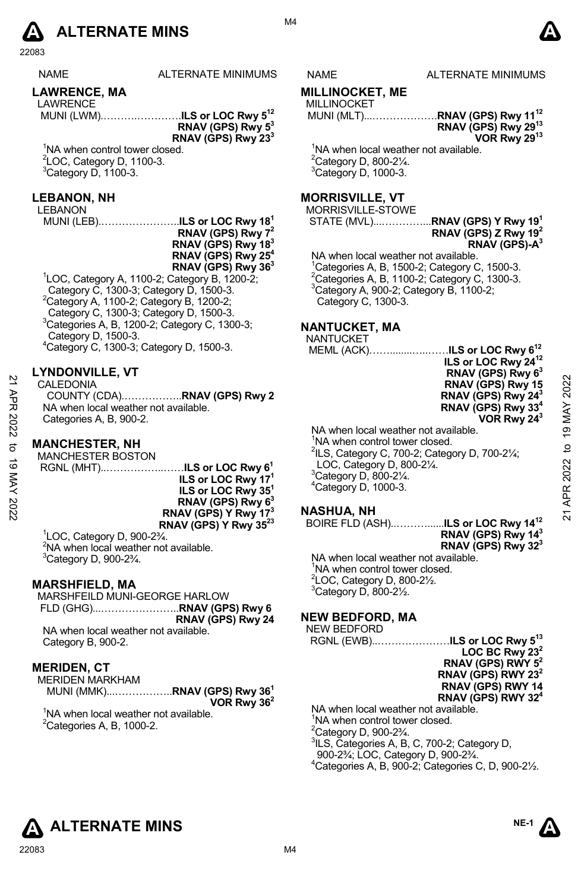

NAME ALTERNATE MINIMUMS NAME ALTERNATE MINIMUMS

# **LAWRENCE, MA**

LAWRENCE MUNI (LWM).……….………….**ILS or LOC Rwy 512** 

**RNAV (GPS) Rwy 53 RNAV (GPS) Rwy 233** 

<sup>1</sup>NA when control tower closed.<br><sup>2</sup>LOC, Category D, 1100-3.  $3$ Category D, 1100-3.

#### **LEBANON, NH**

LEBANON

MUNI (LEB).…………………..**ILS or LOC Rwy 181 RNAV (GPS) Rwy 72 RNAV (GPS) Rwy 183 RNAV (GPS) Rwy 254 RNAV (GPS) Rwy 363** 

1 LOC, Category A, 1100-2; Category B, 1200-2; Category C, 1300-3; Category D, 1500-3.<br>
<sup>2</sup>Category A, 1100-2; Category B, 1200-2;<br>
<sup>2</sup>Category C, 1300-3; Category D, 1500-3.<br>
<sup>2</sup>Category C, 130, 130, 3: Category C, 1300  $3$ Categories A, B, 1200-2; Category C, 1300-3; Category D, 1500-3. 4 Category C, 1300-3; Category D, 1500-3.

# **LYNDONVILLE, VT**

# **MANCHESTER, NH**

**ILS or LOC Rwy 171 ILS or LOC Rwy 351 RNAV (GPS) Rwy 63 RNAV (GPS) Y Rwy 173 RNAV (GPS) Y Rwy 3523**

1 LOC, Category D, 900-2¾.  $2$ NA when local weather not available.  $3$ Category D, 900-2 $\frac{3}{4}$ .

# **MARSHFIELD, MA**

MARSHFEILD MUNI-GEORGE HARLOW FLD (GHG)...…………………..**RNAV (GPS) Rwy 6 RNAV (GPS) Rwy 24** NA when local weather not available. Category B, 900-2.

#### **MERIDEN, CT**

MERIDEN MARKHAM MUNI (MMK)...……………..**RNAV (GPS) Rwy 361 VOR Rwy 362** 

<sup>1</sup>NA when local weather not available.  ${}^{2}$ Categories A, B, 1000-2.

# **MILLINOCKET, ME**

MILLINOCKET MUNI (MLT)...……………….**RNAV (GPS) Rwy 1112**

**RNAV (GPS) Rwy 2913 VOR Rwy 2913**

<sup>1</sup>NA when local weather not available.  $2^2$ Category D, 800-2 $\frac{1}{4}$ .  ${}^{3}$ Category D, 1000-3.

# **MORRISVILLE, VT**

MORRISVILLE-STOWE

STATE (MVL)...…………...**RNAV (GPS) Y Rwy 191 RNAV (GPS) Z Rwy 192 RNAV (GPS)-A3** 

NA when local weather not available. <sup>1</sup>Categories A, B, 1500-2; Category C, 1500-3.<br><sup>2</sup>Categories A, B, 1100-2; Category C, 1300-3. 3 Category A, 900-2; Category B, 1100-2; Category C, 1300-3.

# **NANTUCKET, MA**

**NANTUCKET**<br>MEMI (ACK)

|                       | $4$ Category C, 1300-3; Category D, 1500-3.                                                                                                                                                       | MEML (ACK)ILS or LOC Rwy 6 <sup>12</sup>                                                                                                                                                                                              |                                 |
|-----------------------|---------------------------------------------------------------------------------------------------------------------------------------------------------------------------------------------------|---------------------------------------------------------------------------------------------------------------------------------------------------------------------------------------------------------------------------------------|---------------------------------|
| $\overline{z}$<br>APR | <b>LYNDONVILLE, VT</b><br>CALEDONIA<br>NA when local weather not available.<br>Categories A, B, 900-2.                                                                                            | ILS or LOC Rwy 24 <sup>12</sup><br>RNAV (GPS) Rwy 6 <sup>3</sup><br>RNAV (GPS) Rwy 15<br>RNAV (GPS) Rwy 24 <sup>3</sup><br>RNAV (GPS) Rwy 33 <sup>4</sup><br>VOR Rwy 24 <sup>3</sup>                                                  | 2022<br>MAY                     |
| 2022<br>ನ<br>ಠ<br>XAY | <b>MANCHESTER, NH</b><br><b>MANCHESTER BOSTON</b><br>RGNL (MHT)ILS or LOC Rwy 6 <sup>1</sup><br>ILS or LOC Rwy 17 <sup>1</sup><br>ILS or LOC Rwy 35 <sup>1</sup><br>RNAV (GPS) Rwy 6 <sup>3</sup> | NA when local weather not available.<br>NA when control tower closed.<br><sup>2</sup> ILS, Category C, 700-2; Category D, 700-21/4;<br>LOC, Category D, 800-21/4.<br>$3$ Category D, 800-2 $\frac{1}{4}$ .<br>$4$ Category D, 1000-3. | $\frac{0}{2}$<br>ೆ<br>2022<br>≃ |
| 2022                  | RNAV (GPS) Y Rwy 17 <sup>3</sup>                                                                                                                                                                  | <b>NASHUA, NH</b>                                                                                                                                                                                                                     | ಸ                               |

# **NASHUA, NH**

BOIRE FLD (ASH)..………......**ILS or LOC Rwy 1412 RNAV (GPS) Rwy 143 RNAV (GPS) Rwy 323** 

NA when local weather not available. <sup>1</sup>NA when control tower closed.  $2$ LOC, Category D, 800-2 $\frac{1}{2}$ .  $3$ Category D, 800-2 $\frac{1}{2}$ .

# **NEW BEDFORD, MA**

NEW BEDFORD

RGNL (EWB)..…………………**ILS or LOC Rwy 513 LOC BC Rwy 232 RNAV (GPS) RWY 52 RNAV (GPS) RWY 232 RNAV (GPS) RWY 14 RNAV (GPS) RWY 324** NA when local weather not available. <sup>1</sup>NA when control tower closed.

 $2^2$ Category D, 900-2 $\frac{3}{4}$ . 3 ILS, Categories A, B, C, 700-2; Category D,

- 900-2¾; LOC, Category D, 900-2¾.
- 4 Categories A, B, 900-2; Categories C, D, 900-2½.



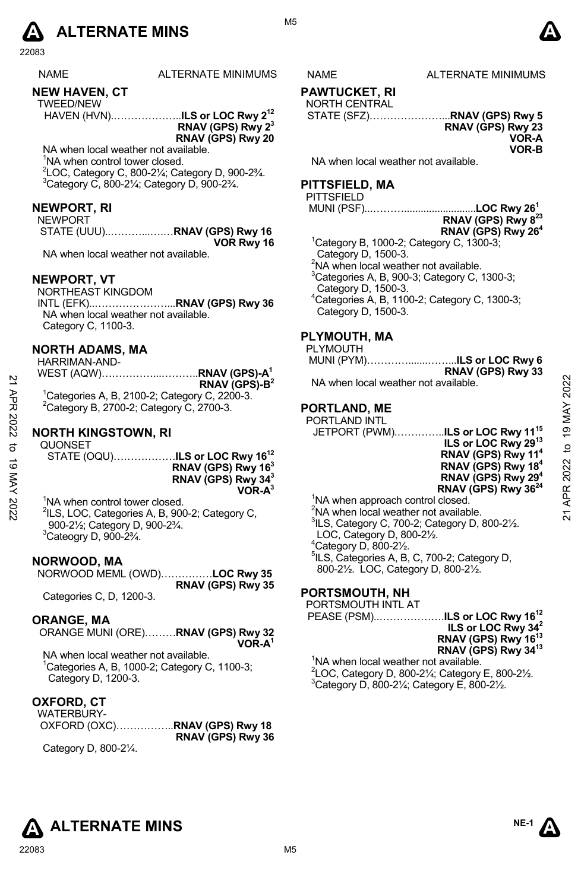

| <b>NAME</b> | ALTE |
|-------------|------|
|-------------|------|

# **NEW HAVEN, CT**

| TWEED/NEW |                                           |
|-----------|-------------------------------------------|
|           | HAVEN (HVN)ILS or LOC Rwy 2 <sup>12</sup> |
|           | RNAV (GPS) Rwy $23$                       |
|           | RNAV (GPS) Rwy 20                         |

NA when local weather not available. <sup>1</sup>NA when control tower closed. 2 LOC, Category C, 800-2¼; Category D, 900-2¾. 3  $3$ Category C, 800-2 $\frac{1}{4}$ ; Category D, 900-2 $\frac{3}{4}$ .

#### **NEWPORT, RI**

| NEWPORT |            |
|---------|------------|
|         |            |
|         | VOR Rwy 16 |

NA when local weather not available.

#### **NEWPORT, VT**

NORTHEAST KINGDOM

INTL (EFK)..…………………...**RNAV (GPS) Rwy 36** NA when local weather not available. Category C, 1100-3.

#### **NORTH ADAMS, MA**

| HARRIMAN-AND-                                         |                           |
|-------------------------------------------------------|---------------------------|
|                                                       |                           |
|                                                       | RNAV (GPS)-B <sup>2</sup> |
| ${}^{1}$ Categories A, B, 2100-2; Category C, 2200-3. |                           |
| <sup>2</sup> Category B, 2700-2; Category C, 2700-3.  |                           |

# **NORTH KINGSTOWN, RI**

**QUONSET** 

STATE (OQU)………………**ILS or LOC Rwy 1612 RNAV (GPS) Rwy 163 RNAV (GPS) Rwy 343 VOR-A3**

<sup>1</sup>NA when control tower closed. <sup>2</sup>ILS, LOC, Categories A, B, 900-2; Category C, 900-2½; Category D, 900-2¾.  $3$ Cateogry D, 900-2 $\frac{3}{4}$ .

#### **NORWOOD, MA**

NORWOOD MEML (OWD)……………**LOC Rwy 35 RNAV (GPS) Rwy 35** 

Categories C, D, 1200-3.

#### **ORANGE, MA**

ORANGE MUNI (ORE)………**RNAV (GPS) Rwy 32 VOR-A1**

NA when local weather not available. 1 Categories A, B, 1000-2; Category C, 1100-3; Category D, 1200-3.

#### **OXFORD, CT**

| WATERBURY- |                   |
|------------|-------------------|
|            |                   |
|            | RNAV (GPS) Rwy 36 |

Category D, 800-2¼.

# RNATE MINIMUMS NAME ALTERNATE MINIMUMS

**PAWTUCKET, RI** 

NORTH CENTRAL

STATE (SFZ)…………………...**RNAV (GPS) Rwy 5** 

**RNAV (GPS) Rwy 23 VOR-A** 

**VOR-B** 

NA when local weather not available.

# **PITTSFIELD, MA**

**PITTSFIELD** 

MUNI (PSF)...………..........................**LOC Rwy 261** 

| ………………∟∪∪ nwy ∡u |                                |  |
|------------------|--------------------------------|--|
|                  | RNAV (GPS) Rwy 8 <sup>23</sup> |  |
|                  |                                |  |
|                  | RNAV (GPS) Rwy 26 <sup>4</sup> |  |
|                  |                                |  |

 $1$ Category B, 1000-2; Category C, 1300-3; Category D, 1500-3. <sup>2</sup>NA when local weather not available.  $3$ Categories A, B, 900-3; Category C, 1300-3; Category D, 1500-3. 4 Categories A, B, 1100-2; Category C, 1300-3; Category D, 1500-3.

# **PLYMOUTH, MA**

PLYMOUTH

 MUNI (PYM)………….......……...**ILS or LOC Rwy 6 RNAV (GPS) Rwy 33** 

NA when local weather not available.

# **PORTLAND, ME**

PORTLAND INTL JETPORT (PWM).…………..**ILS or LOC Rwy 1115 ILS or LOC Rwy 2913 RNAV (GPS) Rwy 114 RNAV (GPS) Rwy 184 RNAV (GPS) Rwy 294 RNAV (GPS) Rwy 3624** 22 ARAD (GPS) Ry 16<sup>2</sup><br>
22 APR 2020-2; Category C, 2200-3.<br>
22 Category B, 2700-2; Category C, 2700-3.<br>
22 Category B, 2700-2; Category C, 2700-3.<br>
22 PORTLAND, ME<br>
22 PORTLAND, ME<br>
22 PORTLAND, ME<br>
22 PORTLAND, ME<br>
22 PO

<sup>1</sup>NA when approach control closed. NA when local weather not available. ILS, Category C, 700-2; Category D, 800-2 $\frac{1}{2}$ . LOC, Category D, 800-2½. Category D, 800-2 $\frac{1}{2}$ . ILS, Categories A, B, C, 700-2; Category D,

800-2½. LOC, Category D, 800-2½.

# **PORTSMOUTH, NH**

PEASE (PSM)..……………….**ILS or LOC Rwy 1612 ILS or LOC Rwy 342 RNAV (GPS) Rwy 1613 RNAV (GPS) Rwy 3413**

<sup>1</sup>NA when local weather not available. <sup>2</sup> LOC, Category D, 800-2<sup>1</sup>/<sub>4</sub>; Category E, 800-2<sup>1</sup>/<sub>2</sub>.<br><sup>3</sup>Category D, 800, 31/; Category E, 800, 31/  $3$ Category D, 800-2 $\frac{1}{4}$ ; Category E, 800-2 $\frac{1}{2}$ .





# PORTSMOUTH INTL AT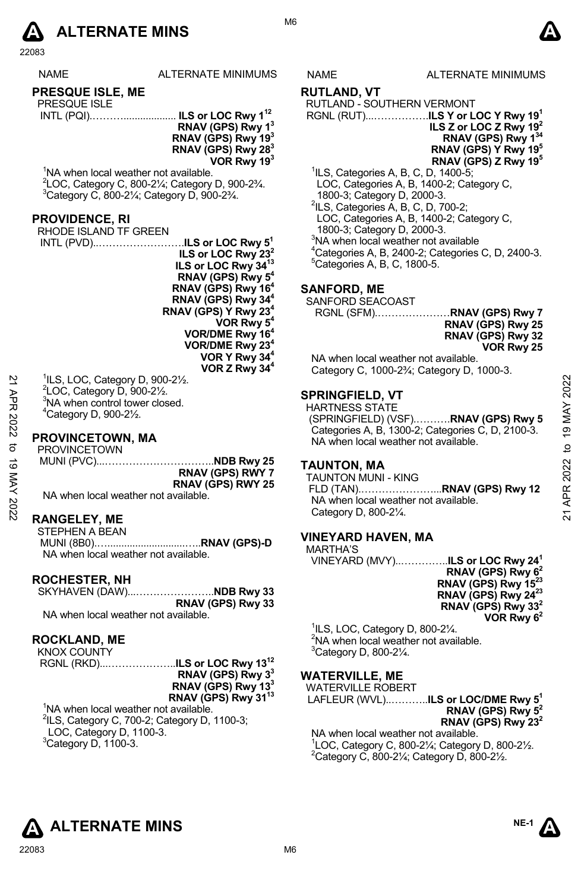

ALTERNATE MINIMUMS NAME ALTERNATE MINIMUMS

# **PRESQUE ISLE, ME**

| <b>PRESQUE ISLE</b> |                                           |
|---------------------|-------------------------------------------|
|                     | INTL (PQI) ILS or LOC Rwy 1 <sup>12</sup> |

**RNAV (GPS) Rwy 13 RNAV (GPS) Rwy 193 RNAV (GPS) Rwy 283 VOR Rwy 193** 

<sup>1</sup>NA when local weather not available. <sup>2</sup>LOC, Category C, 800-2¼; Category D, 900-2¾.<br><sup>3</sup>Category C, 800, 21/: Category D, 900, 2<sup>3</sup>/

<sup>3</sup>Category C, 800-21⁄<sub>4</sub>; Category D, 900-23⁄<sub>4</sub>.

# **PROVIDENCE, RI**

RHODE ISLAND TF GREEN INTL (PVD)..…………………….**ILS or LOC Rwy 51 ILS or LOC Rwy 232 ILS or LOC Rwy 3413 RNAV (GPS) Rwy 54 RNAV (GPS) Rwy 164 RNAV (GPS) Rwy 344 RNAV (GPS) Y Rwy 234 VOR Rwy 5<sup>4</sup> VOR/DME Rwy 164 VOR/DME Rwy 234 VOR Y Rwy 344 VOR Z Rwy 344**

 ILS, LOC, Category D, 900-2½.  $\overline{2}$ LOC, Category D, 900-2½. NA when control tower closed. Category D, 900-2 $\frac{1}{2}$ .

# **PROVINCETOWN, MA**

PROVINCETOWN MUNI (PVC)...…………………………..**NDB Rwy 25 RNAV (GPS) RWY 7 RNAV (GPS) RWY 25**  NA when local weather not available. 22  $^{11}LS, LOC, Category D, 900-2½.$ <br>  $^{21}CO, Category D, 900-2½.$ <br>  $^{21}CO, Category D, 900-2½.$ <br>  $^{21}CO, Category D, 900-2½.$ <br>  $^{21}COVINCETOWN, MA$ <br>  $^{22}COVINCETOWN, MA$ <br>  $^{23}COVINCETOWN, MA$ <br>  $^{24}COVINCETOWN, MA$ <br>  $^{25}COVINCETOWN$ <br>  $^{26}COVINCETOWN$ <br>  $^{27}COVINCETOVNN$ <br>  $^{28}COVINCETOVNN$ <br>

#### **RANGELEY, ME**

STEPHEN A BEAN MUNI (8B0).…............................…..**RNAV (GPS)-D**  NA when local weather not available.

# **ROCHESTER, NH**

SKYHAVEN (DAW)...…………………..**NDB Rwy 33 RNAV (GPS) Rwy 33** 

NA when local weather not available.

# **ROCKLAND, ME**

KNOX COUNTY RGNL (RKD)...………………..**ILS or LOC Rwy 1312** 

**RNAV (GPS) Rwy 33 RNAV (GPS) Rwy 133 RNAV (GPS) Rwy 3113** 

<sup>1</sup>NA when local weather not available. <sup>2</sup>ILS, Category C, 700-2; Category D, 1100-3; LOC, Category D, 1100-3.  $^3$ Category D, 1100-3.

#### **RUTLAND, VT**

RUTLAND - SOUTHERN VERMONT

- RGNL (RUT)...…………….**ILS Y or LOC Y Rwy 191 ILS Z or LOC Z Rwy 192 RNAV (GPS) Rwy 134 RNAV (GPS) Y Rwy 195 RNAV (GPS) Z Rwy 195**
- 1 ILS, Categories A, B, C, D, 1400-5; LOC, Categories A, B, 1400-2; Category C, 1800-3; Category D, 2000-3. 2 ILS, Categories A, B, C, D, 700-2;
- LOC, Categories A, B, 1400-2; Category C,
- 1800-3; Category D, 2000-3.
- <sup>3</sup>NA when local weather not available
- $^{4}$ Categories A, B, 2400-2; Categories C, D, 2400-3.
- $5$ Categories A, B, C, 1800-5.

# **SANFORD, ME**

SANFORD SEACOAST

RGNL (SFM).…………………**RNAV (GPS) Rwy 7 RNAV (GPS) Rwy 25 RNAV (GPS) Rwy 32 VOR Rwy 25** 

NA when local weather not available. Category C, 1000-2¾; Category D, 1000-3.

#### **SPRINGFIELD, VT**

HARTNESS STATE (SPRINGFIELD) (VSF).……….**RNAV (GPS) Rwy 5**  Categories A, B, 1300-2; Categories C, D, 2100-3. NA when local weather not available.

# **TAUNTON, MA**

TAUNTON MUNI - KING FLD (TAN).…………………...**RNAV (GPS) Rwy 12**  NA when local weather not available. Category D, 800-2¼.

# **VINEYARD HAVEN, MA**

MARTHA'S

VINEYARD (MVY)..…………..**ILS or LOC Rwy 241 RNAV (GPS) Rwy 62 RNAV (GPS) Rwy 15 RNAV (GPS) Rwy 2423 RNAV (GPS) Rwy 332 VOR Rwy 62**

1 ILS, LOC, Category D, 800-2¼. <sup>2</sup>NA when local weather not available. <sup>3</sup>Category D, 800-21/4.

# **WATERVILLE, ME**

WATERVILLE ROBERT

LAFLEUR (WVL)..………..**ILS or LOC/DME Rwy 51 RNAV (GPS) Rwy 52 RNAV (GPS) Rwy 232** 

NA when local weather not available.  $1$ LOC, Category C, 800-21/<sub>4</sub>; Category D, 800-21/<sub>2</sub>. <sup>2</sup> Category C, 800-2 $\frac{1}{4}$ ; Category D, 800-2 $\frac{1}{2}$ .